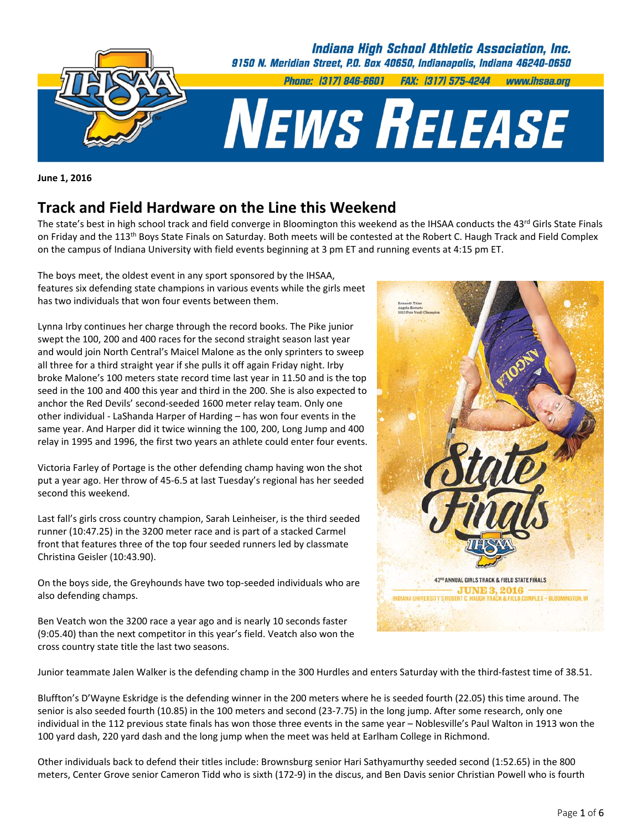

**June 1, 2016**

# **Track and Field Hardware on the Line this Weekend**

The state's best in high school track and field converge in Bloomington this weekend as the IHSAA conducts the  $43^{rd}$  Girls State Finals on Friday and the 113<sup>th</sup> Boys State Finals on Saturday. Both meets will be contested at the Robert C. Haugh Track and Field Complex on the campus of Indiana University with field events beginning at 3 pm ET and running events at 4:15 pm ET.

The boys meet, the oldest event in any sport sponsored by the IHSAA, features six defending state champions in various events while the girls meet has two individuals that won four events between them.

Lynna Irby continues her charge through the record books. The Pike junior swept the 100, 200 and 400 races for the second straight season last year and would join North Central's Maicel Malone as the only sprinters to sweep all three for a third straight year if she pulls it off again Friday night. Irby broke Malone's 100 meters state record time last year in 11.50 and is the top seed in the 100 and 400 this year and third in the 200. She is also expected to anchor the Red Devils' second‐seeded 1600 meter relay team. Only one other individual ‐ LaShanda Harper of Harding – has won four events in the same year. And Harper did it twice winning the 100, 200, Long Jump and 400 relay in 1995 and 1996, the first two years an athlete could enter four events.

Victoria Farley of Portage is the other defending champ having won the shot put a year ago. Her throw of 45‐6.5 at last Tuesday's regional has her seeded second this weekend.

Last fall's girls cross country champion, Sarah Leinheiser, is the third seeded runner (10:47.25) in the 3200 meter race and is part of a stacked Carmel front that features three of the top four seeded runners led by classmate Christina Geisler (10:43.90).

On the boys side, the Greyhounds have two top‐seeded individuals who are also defending champs.

Ben Veatch won the 3200 race a year ago and is nearly 10 seconds faster (9:05.40) than the next competitor in this year's field. Veatch also won the cross country state title the last two seasons.



Junior teammate Jalen Walker is the defending champ in the 300 Hurdles and enters Saturday with the third‐fastest time of 38.51.

Bluffton's D'Wayne Eskridge is the defending winner in the 200 meters where he is seeded fourth (22.05) this time around. The senior is also seeded fourth (10.85) in the 100 meters and second (23-7.75) in the long jump. After some research, only one individual in the 112 previous state finals has won those three events in the same year – Noblesville's Paul Walton in 1913 won the 100 yard dash, 220 yard dash and the long jump when the meet was held at Earlham College in Richmond.

Other individuals back to defend their titles include: Brownsburg senior Hari Sathyamurthy seeded second (1:52.65) in the 800 meters, Center Grove senior Cameron Tidd who is sixth (172‐9) in the discus, and Ben Davis senior Christian Powell who is fourth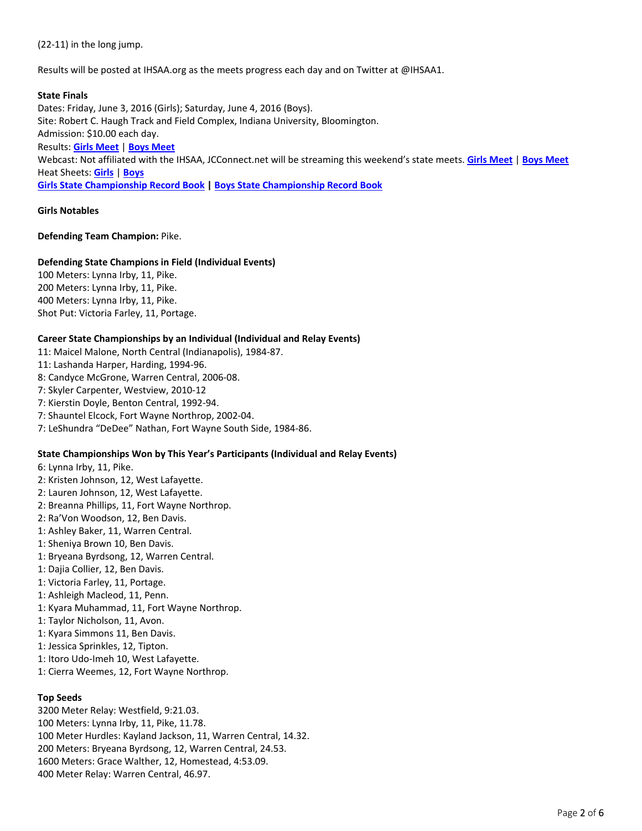(22‐11) in the long jump.

Results will be posted at IHSAA.org as the meets progress each day and on Twitter at @IHSAA1.

## **State Finals**

Dates: Friday, June 3, 2016 (Girls); Saturday, June 4, 2016 (Boys). Site: Robert C. Haugh Track and Field Complex, Indiana University, Bloomington. Admission: \$10.00 each day. Results: **Girls [Meet](http://www.alphatiming.net/results/girlsstate)** | **Boys [Meet](http://www.alphatiming.net/results/boysstate)** Webcast: Not affiliated with the IHSAA, JCConnect.net will be streaming this weekend's state meets. **Girls [Meet](https://livestream.com/jcconnect/2016girlsstate)** | **Boys [Meet](https://livestream.com/jcconnect/2016boysstate)** Heat Sheets: **[Girls](http://www.ihsaa.org/Portals/0/girls%20sports/girls%20track/2015-16/girls%20state%20heat%20sheets%20as%20of%205%2027%201130am.pdf)** | **[Boys](http://www.ihsaa.org/Portals/0/boys%20sports/track/2015-16/boys%20heat%20sheets%20with%20records%20standards%20no%20logos.pdf) Girls State [Championship](http://www.ihsaa.org/Portals/0/girls sports/girls track/Girls Track Records Book.pdf) Record Book | Boys State [Championship](http://www.ihsaa.org/Portals/0/boys sports/track/Boys Track Records Book.pdf) Record Book**

**Girls Notables**

**Defending Team Champion:** Pike.

# **Defending State Champions in Field (Individual Events)**

 Meters: Lynna Irby, 11, Pike. Meters: Lynna Irby, 11, Pike. Meters: Lynna Irby, 11, Pike. Shot Put: Victoria Farley, 11, Portage.

## **Career State Championships by an Individual (Individual and Relay Events)**

11: Maicel Malone, North Central (Indianapolis), 1984‐87.

- 11: Lashanda Harper, Harding, 1994‐96.
- 8: Candyce McGrone, Warren Central, 2006‐08.
- 7: Skyler Carpenter, Westview, 2010‐12
- 7: Kierstin Doyle, Benton Central, 1992‐94.
- 7: Shauntel Elcock, Fort Wayne Northrop, 2002‐04.
- 7: LeShundra "DeDee" Nathan, Fort Wayne South Side, 1984‐86.

# **State Championships Won by This Year's Participants (Individual and Relay Events)**

6: Lynna Irby, 11, Pike.

- 2: Kristen Johnson, 12, West Lafayette.
- 2: Lauren Johnson, 12, West Lafayette.
- 2: Breanna Phillips, 11, Fort Wayne Northrop.
- 2: Ra'Von Woodson, 12, Ben Davis.
- 1: Ashley Baker, 11, Warren Central.
- 1: Sheniya Brown 10, Ben Davis.
- 1: Bryeana Byrdsong, 12, Warren Central.
- 1: Dajia Collier, 12, Ben Davis.
- 1: Victoria Farley, 11, Portage.
- 1: Ashleigh Macleod, 11, Penn.
- 1: Kyara Muhammad, 11, Fort Wayne Northrop.
- 1: Taylor Nicholson, 11, Avon.
- 1: Kyara Simmons 11, Ben Davis.
- 1: Jessica Sprinkles, 12, Tipton.
- 1: Itoro Udo‐Imeh 10, West Lafayette.
- 1: Cierra Weemes, 12, Fort Wayne Northrop.

### **Top Seeds**

 Meter Relay: Westfield, 9:21.03. Meters: Lynna Irby, 11, Pike, 11.78. Meter Hurdles: Kayland Jackson, 11, Warren Central, 14.32. Meters: Bryeana Byrdsong, 12, Warren Central, 24.53. Meters: Grace Walther, 12, Homestead, 4:53.09. Meter Relay: Warren Central, 46.97.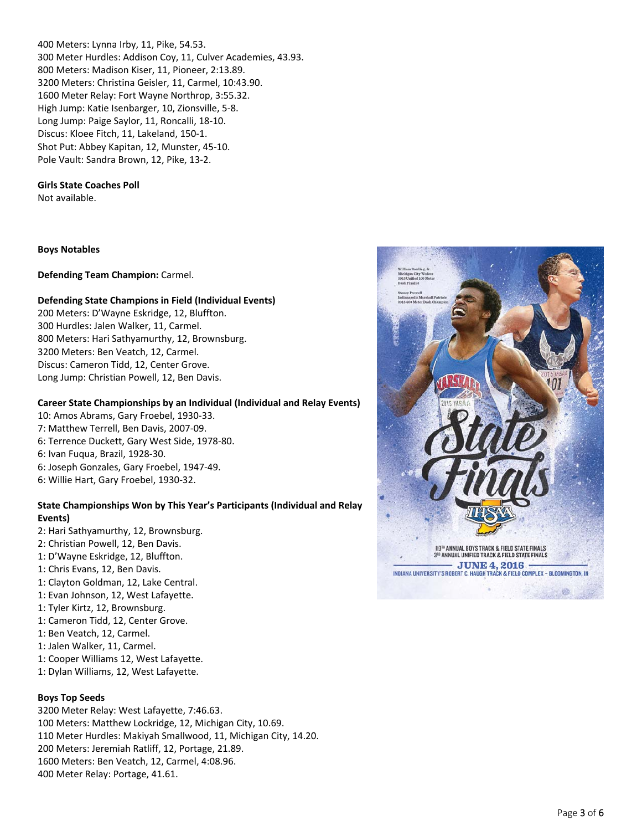400 Meters: Lynna Irby, 11, Pike, 54.53. 300 Meter Hurdles: Addison Coy, 11, Culver Academies, 43.93. 800 Meters: Madison Kiser, 11, Pioneer, 2:13.89. 3200 Meters: Christina Geisler, 11, Carmel, 10:43.90. 1600 Meter Relay: Fort Wayne Northrop, 3:55.32. High Jump: Katie Isenbarger, 10, Zionsville, 5‐8. Long Jump: Paige Saylor, 11, Roncalli, 18‐10. Discus: Kloee Fitch, 11, Lakeland, 150‐1. Shot Put: Abbey Kapitan, 12, Munster, 45‐10. Pole Vault: Sandra Brown, 12, Pike, 13‐2.

## **Girls State Coaches Poll**

Not available.

#### **Boys Notables**

**Defending Team Champion:** Carmel.

# **Defending State Champions in Field (Individual Events)**

 Meters: D'Wayne Eskridge, 12, Bluffton. Hurdles: Jalen Walker, 11, Carmel. Meters: Hari Sathyamurthy, 12, Brownsburg. Meters: Ben Veatch, 12, Carmel. Discus: Cameron Tidd, 12, Center Grove. Long Jump: Christian Powell, 12, Ben Davis.

# **Career State Championships by an Individual (Individual and Relay Events)**

10: Amos Abrams, Gary Froebel, 1930‐33. 7: Matthew Terrell, Ben Davis, 2007‐09. 6: Terrence Duckett, Gary West Side, 1978‐80. 6: Ivan Fuqua, Brazil, 1928‐30. 6: Joseph Gonzales, Gary Froebel, 1947‐49. 6: Willie Hart, Gary Froebel, 1930‐32.

# **State Championships Won by This Year's Participants (Individual and Relay Events)**

- 2: Hari Sathyamurthy, 12, Brownsburg.
- 2: Christian Powell, 12, Ben Davis.
- 1: D'Wayne Eskridge, 12, Bluffton.
- 1: Chris Evans, 12, Ben Davis.
- 1: Clayton Goldman, 12, Lake Central.
- 1: Evan Johnson, 12, West Lafayette.
- 1: Tyler Kirtz, 12, Brownsburg.
- 1: Cameron Tidd, 12, Center Grove.
- 1: Ben Veatch, 12, Carmel.
- 1: Jalen Walker, 11, Carmel.
- 1: Cooper Williams 12, West Lafayette.
- 1: Dylan Williams, 12, West Lafayette.

# **Boys Top Seeds**

 Meter Relay: West Lafayette, 7:46.63. Meters: Matthew Lockridge, 12, Michigan City, 10.69. Meter Hurdles: Makiyah Smallwood, 11, Michigan City, 14.20. Meters: Jeremiah Ratliff, 12, Portage, 21.89. Meters: Ben Veatch, 12, Carmel, 4:08.96. Meter Relay: Portage, 41.61.

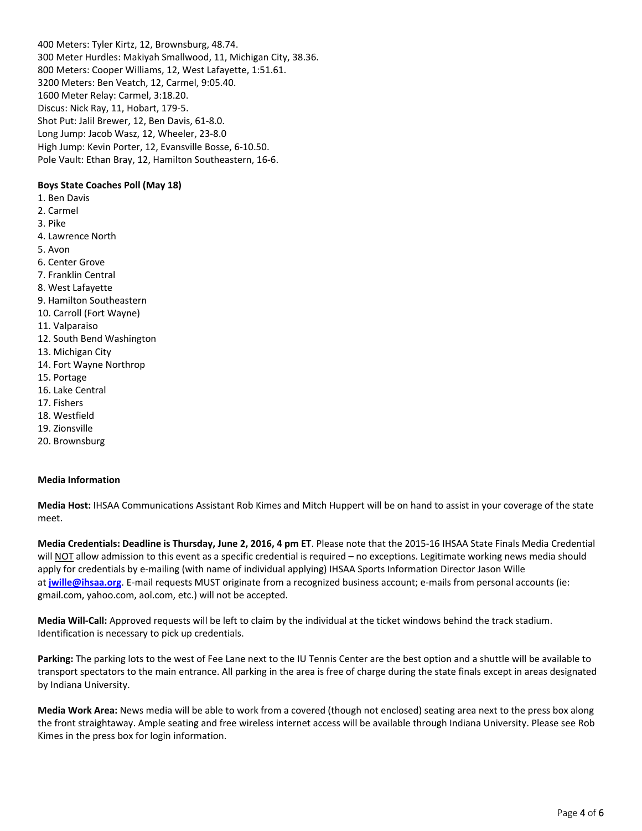400 Meters: Tyler Kirtz, 12, Brownsburg, 48.74. 300 Meter Hurdles: Makiyah Smallwood, 11, Michigan City, 38.36. 800 Meters: Cooper Williams, 12, West Lafayette, 1:51.61. 3200 Meters: Ben Veatch, 12, Carmel, 9:05.40. 1600 Meter Relay: Carmel, 3:18.20. Discus: Nick Ray, 11, Hobart, 179‐5. Shot Put: Jalil Brewer, 12, Ben Davis, 61‐8.0. Long Jump: Jacob Wasz, 12, Wheeler, 23‐8.0 High Jump: Kevin Porter, 12, Evansville Bosse, 6‐10.50. Pole Vault: Ethan Bray, 12, Hamilton Southeastern, 16‐6.

# **Boys State Coaches Poll (May 18)**

- 1. Ben Davis
- 2. Carmel
- 3. Pike
- 4. Lawrence North
- 5. Avon
- 6. Center Grove
- 7. Franklin Central
- 8. West Lafayette
- 9. Hamilton Southeastern
- 10. Carroll (Fort Wayne)
- 11. Valparaiso
- 12. South Bend Washington
- 13. Michigan City
- 14. Fort Wayne Northrop
- 15. Portage
- 16. Lake Central
- 17. Fishers
- 18. Westfield
- 19. Zionsville
- 20. Brownsburg

#### **Media Information**

**Media Host:** IHSAA Communications Assistant Rob Kimes and Mitch Huppert will be on hand to assist in your coverage of the state meet.

**Media Credentials: Deadline is Thursday, June 2, 2016, 4 pm ET**. Please note that the 2015‐16 IHSAA State Finals Media Credential will NOT allow admission to this event as a specific credential is required – no exceptions. Legitimate working news media should apply for credentials by e-mailing (with name of individual applying) IHSAA Sports Information Director Jason Wille at <jwille@ihsaa.org>. E-mail requests MUST originate from a recognized business account; e-mails from personal accounts (ie: gmail.com, yahoo.com, aol.com, etc.) will not be accepted.

**Media Will‐Call:** Approved requests will be left to claim by the individual at the ticket windows behind the track stadium. Identification is necessary to pick up credentials.

**Parking:** The parking lots to the west of Fee Lane next to the IU Tennis Center are the best option and a shuttle will be available to transport spectators to the main entrance. All parking in the area is free of charge during the state finals except in areas designated by Indiana University.

**Media Work Area:** News media will be able to work from a covered (though not enclosed) seating area next to the press box along the front straightaway. Ample seating and free wireless internet access will be available through Indiana University. Please see Rob Kimes in the press box for login information.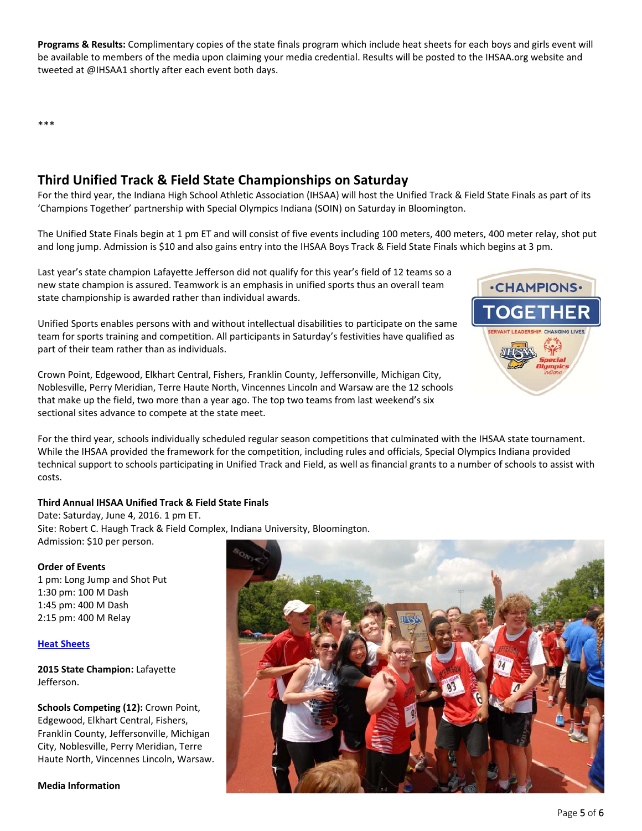**Programs & Results:** Complimentary copies of the state finals program which include heat sheets for each boys and girls event will be available to members of the media upon claiming your media credential. Results will be posted to the IHSAA.org website and tweeted at @IHSAA1 shortly after each event both days.

\*\*\*

# **Third Unified Track & Field State Championships on Saturday**

For the third year, the Indiana High School Athletic Association (IHSAA) will host the Unified Track & Field State Finals as part of its 'Champions Together' partnership with Special Olympics Indiana (SOIN) on Saturday in Bloomington.

The Unified State Finals begin at 1 pm ET and will consist of five events including 100 meters, 400 meters, 400 meter relay, shot put and long jump. Admission is \$10 and also gains entry into the IHSAA Boys Track & Field State Finals which begins at 3 pm.

Last year's state champion Lafayette Jefferson did not qualify for this year's field of 12 teams so a new state champion is assured. Teamwork is an emphasis in unified sports thus an overall team state championship is awarded rather than individual awards.

Unified Sports enables persons with and without intellectual disabilities to participate on the same team for sports training and competition. All participants in Saturday's festivities have qualified as part of their team rather than as individuals.

Crown Point, Edgewood, Elkhart Central, Fishers, Franklin County, Jeffersonville, Michigan City, Noblesville, Perry Meridian, Terre Haute North, Vincennes Lincoln and Warsaw are the 12 schools that make up the field, two more than a year ago. The top two teams from last weekend's six sectional sites advance to compete at the state meet.



For the third year, schools individually scheduled regular season competitions that culminated with the IHSAA state tournament. While the IHSAA provided the framework for the competition, including rules and officials, Special Olympics Indiana provided technical support to schools participating in Unified Track and Field, as well as financial grants to a number of schools to assist with costs.

# **Third Annual IHSAA Unified Track & Field State Finals**

Date: Saturday, June 4, 2016. 1 pm ET. Site: Robert C. Haugh Track & Field Complex, Indiana University, Bloomington. Admission: \$10 per person.

# **Order of Events**

1 pm: Long Jump and Shot Put 1:30 pm: 100 M Dash 1:45 pm: 400 M Dash 2:15 pm: 400 M Relay

# **Heat [Sheets](http://www.ihsaa.org/Portals/0/Unified%20Track%20&%20Field/2015-16/unified%20heat%20sheets.pdf)**

**2015 State Champion:** Lafayette Jefferson.

**Schools Competing (12):** Crown Point, Edgewood, Elkhart Central, Fishers, Franklin County, Jeffersonville, Michigan City, Noblesville, Perry Meridian, Terre Haute North, Vincennes Lincoln, Warsaw.

**Media Information**